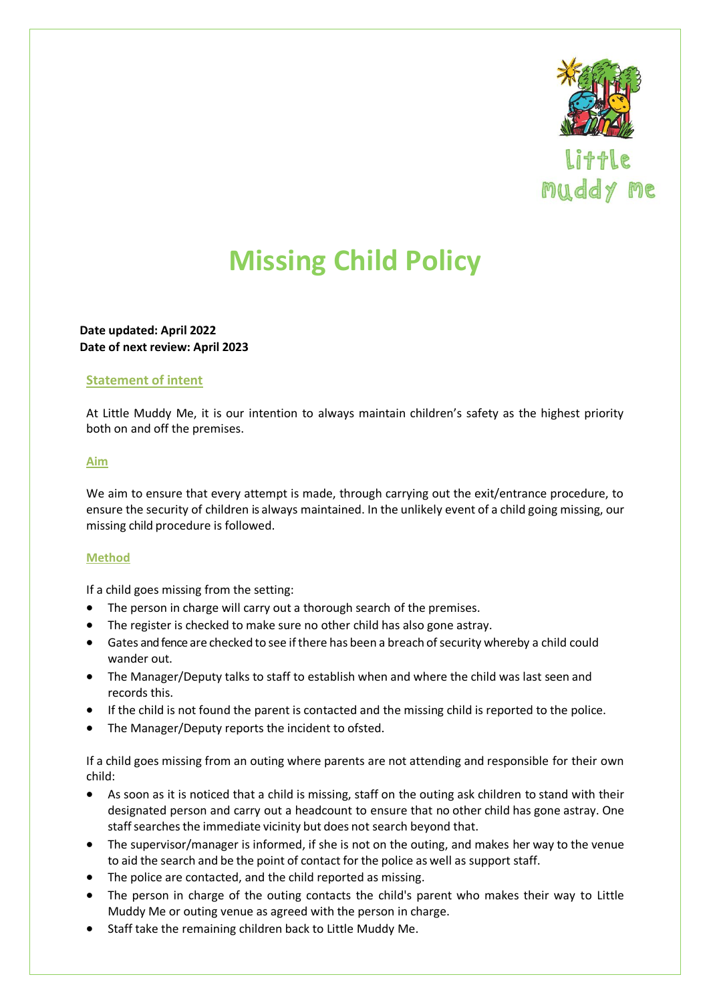

# **Missing Child Policy**

**Date updated: April 2022 Date of next review: April 2023**

### **Statement of intent**

At Little Muddy Me, it is our intention to always maintain children's safety as the highest priority both on and off the premises.

#### **Aim**

We aim to ensure that every attempt is made, through carrying out the exit/entrance procedure, to ensure the security of children is always maintained. In the unlikely event of a child going missing, our missing child procedure is followed.

#### **Method**

If a child goes missing from the setting:

- The person in charge will carry out a thorough search of the premises.
- The register is checked to make sure no other child has also gone astray.
- Gates and fence are checked to see if there has been a breach of security whereby a child could wander out.
- The Manager/Deputy talks to staff to establish when and where the child was last seen and records this.
- If the child is not found the parent is contacted and the missing child is reported to the police.
- The Manager/Deputy reports the incident to ofsted.

If a child goes missing from an outing where parents are not attending and responsible for their own child:

- As soon as it is noticed that a child is missing, staff on the outing ask children to stand with their designated person and carry out a headcount to ensure that no other child has gone astray. One staff searches the immediate vicinity but does not search beyond that.
- The supervisor/manager is informed, if she is not on the outing, and makes her way to the venue to aid the search and be the point of contact for the police as well as support staff.
- The police are contacted, and the child reported as missing.
- The person in charge of the outing contacts the child's parent who makes their way to Little Muddy Me or outing venue as agreed with the person in charge.
- Staff take the remaining children back to Little Muddy Me.